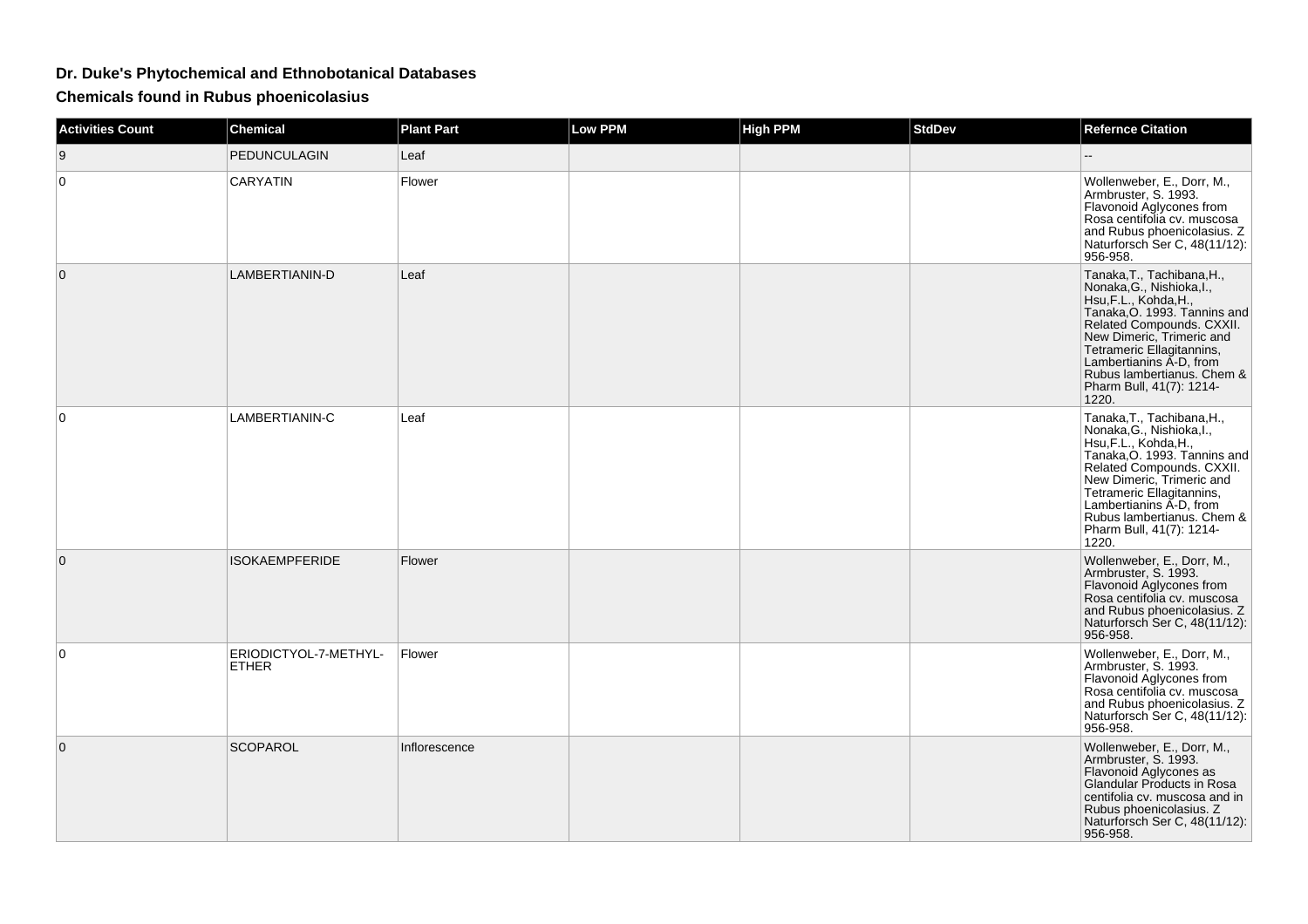## **Dr. Duke's Phytochemical and Ethnobotanical Databases**

**Chemicals found in Rubus phoenicolasius**

| <b>Activities Count</b> | <b>Chemical</b>                       | <b>Plant Part</b> | <b>Low PPM</b> | <b>High PPM</b> | <b>StdDev</b> | <b>Refernce Citation</b>                                                                                                                                                                                                                                                                              |
|-------------------------|---------------------------------------|-------------------|----------------|-----------------|---------------|-------------------------------------------------------------------------------------------------------------------------------------------------------------------------------------------------------------------------------------------------------------------------------------------------------|
| 9                       | PEDUNCULAGIN                          | Leaf              |                |                 |               |                                                                                                                                                                                                                                                                                                       |
| 0                       | CARYATIN                              | Flower            |                |                 |               | Wollenweber, E., Dorr, M.,<br>Armbruster, S. 1993.<br>Flavonoid Aglycones from<br>Rosa centifolia cv. muscosa<br>and Rubus phoenicolasius. Z<br>Naturforsch Ser C, 48(11/12):<br>956-958.                                                                                                             |
| $\mathbf 0$             | LAMBERTIANIN-D                        | Leaf              |                |                 |               | Tanaka, T., Tachibana, H.,<br>Nonaka, G., Nishioka, I.,<br>Hsu, F.L., Kohda, H.,<br>Tanaka, O. 1993. Tannins and<br>Related Compounds. CXXII.<br>New Dimeric, Trimeric and<br>Tetrameric Ellagitannins,<br>Lambertianing A-D, from<br>Rubus lambertianus. Chem &<br>Pharm Bull, 41(7): 1214-<br>1220. |
| $\Omega$                | LAMBERTIANIN-C                        | Leaf              |                |                 |               | Tanaka, T., Tachibana, H.,<br>Nonaka, G., Nishioka, I.,<br>Hsu, F.L., Kohda, H.,<br>Tanaka, O. 1993. Tannins and<br>Related Compounds. CXXII.<br>New Dimeric, Trimeric and<br>Tetrameric Ellagitannins,<br>Lambertianins A-D, from<br>Rubus lambertianus. Chem &<br>Pharm Bull, 41(7): 1214-<br>1220. |
| $\mathbf{0}$            | <b>ISOKAEMPFERIDE</b>                 | <b>Flower</b>     |                |                 |               | Wollenweber, E., Dorr, M.,<br>Armbruster, S. 1993.<br>Flavonoid Aglycones from<br>Rosa centifolia cv. muscosa<br>and Rubus phoenicolasius. Z<br>Naturforsch Ser C, 48(11/12):<br>956-958.                                                                                                             |
| 0                       | ERIODICTYOL-7-METHYL-<br><b>ETHER</b> | Flower            |                |                 |               | Wollenweber, E., Dorr, M.,<br>Armbruster, S. 1993.<br>Flavonoid Aglycones from<br>Rosa centifolia cv. muscosa<br>and Rubus phoenicolasius. Z<br>Naturforsch Ser C, 48(11/12):<br>956-958.                                                                                                             |
| $\Omega$                | SCOPAROL                              | Inflorescence     |                |                 |               | Wollenweber, E., Dorr, M.,<br>Armbruster, S. 1993.<br>Flavonoid Aglycones as<br>Glandular Products in Rosa<br>centifolia cv. muscosa and in<br>Rubus phoenicolasius. Z<br>Naturforsch Ser C, 48(11/12):<br>956-958.                                                                                   |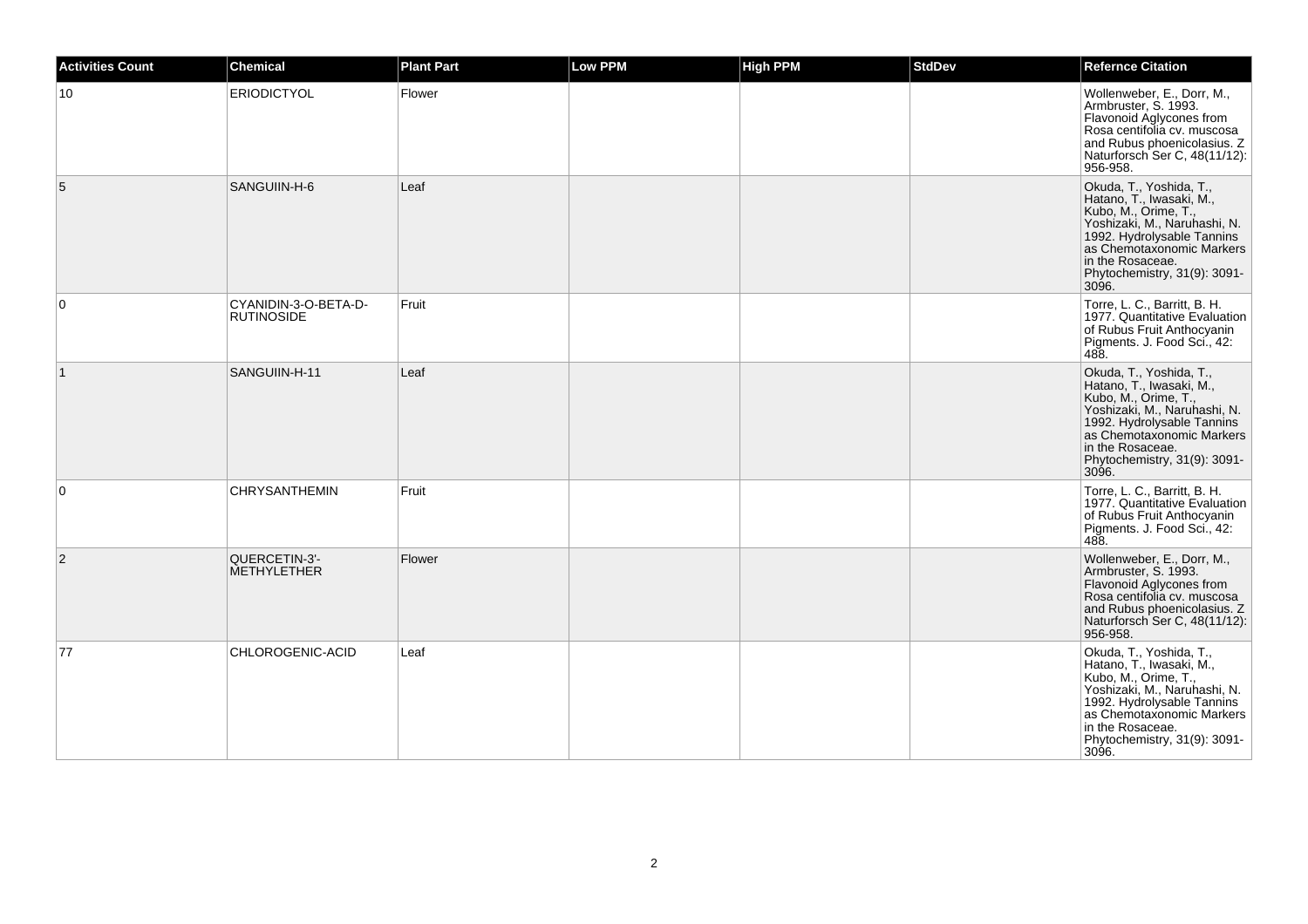| <b>Activities Count</b> | <b>Chemical</b>                           | <b>Plant Part</b> | <b>Low PPM</b> | <b>High PPM</b> | <b>StdDev</b> | <b>Refernce Citation</b>                                                                                                                                                                                                                                 |
|-------------------------|-------------------------------------------|-------------------|----------------|-----------------|---------------|----------------------------------------------------------------------------------------------------------------------------------------------------------------------------------------------------------------------------------------------------------|
| 10                      | <b>ERIODICTYOL</b>                        | Flower            |                |                 |               | Wollenweber, E., Dorr, M.,<br>Armbruster, S. 1993.<br>Flavonoid Aglycones from<br>Rosa centifolia cv. muscosa<br>and Rubus phoenicolasius. Z<br>Naturforsch Ser C, 48(11/12):<br>956-958.                                                                |
| 5                       | SANGUIIN-H-6                              | Leaf              |                |                 |               | Okuda, T., Yoshida, T.,<br>Hatano, T., Iwasaki, M.,<br>Kubo, M., Orime, T.,<br>Yoshizaki, M., Naruhashi, N.<br>1992. Hydrolysable Tannins<br>as Chemotaxonomic Markers<br>in the Rosaceae.<br>Phytochemistry, 31(9): 3091-<br>3096.                      |
| 0                       | CYANIDIN-3-O-BETA-D-<br><b>RUTINOSIDE</b> | Fruit             |                |                 |               | Torre, L. C., Barritt, B. H.<br>1977. Quantitative Evaluation<br>of Rubus Fruit Anthocyanin<br>Pigments. J. Food Sci., 42:<br>488.                                                                                                                       |
| $\mathbf{1}$            | SANGUIIN-H-11                             | Leaf              |                |                 |               | Okuda, T., Yoshida, T.,<br>Hatano, T., Iwasaki, M.,<br>Kubo, M., Orime, T.,<br>Yoshizaki, M., Naruhashi, N.<br>1992. Hydrolysable Tannins<br>as Chemotaxonomic Markers<br>in the Rosaceae.<br>Phytochemistry, 31(9): 3091-<br>3096.                      |
| 0                       | <b>CHRYSANTHEMIN</b>                      | Fruit             |                |                 |               | Torre, L. C., Barritt, B. H.<br>1977. Quantitative Evaluation<br>of Rubus Fruit Anthocyanin<br>Pigments. J. Food Sci., 42:<br>488.                                                                                                                       |
| $\overline{2}$          | QUERCETIN-3'-<br><b>METHYLETHER</b>       | Flower            |                |                 |               | Wollenweber, E., Dorr, M.,<br>Armbruster, S. 1993.<br>Flavonoid Aglycones from<br>Rosa centifolia cv. muscosa<br>and Rubus phoenicolasius. Z<br>Naturforsch Ser C, 48(11/12):<br>956-958.                                                                |
| 77                      | CHLOROGENIC-ACID                          | Leaf              |                |                 |               | Okuda, T., Yoshida, T.,<br>Hatano, T., Iwasaki, M.,<br>Kubo, M., Orime, T.,<br>Kubo, M., Orime, T., Yoshizaki, M., Naruhashi, N.<br>1992. Hydrolysable Tannins<br>as Chemotaxonomic Markers<br>in the Rosaceae.<br>Phytochemistry, 31(9): 3091-<br>3096. |